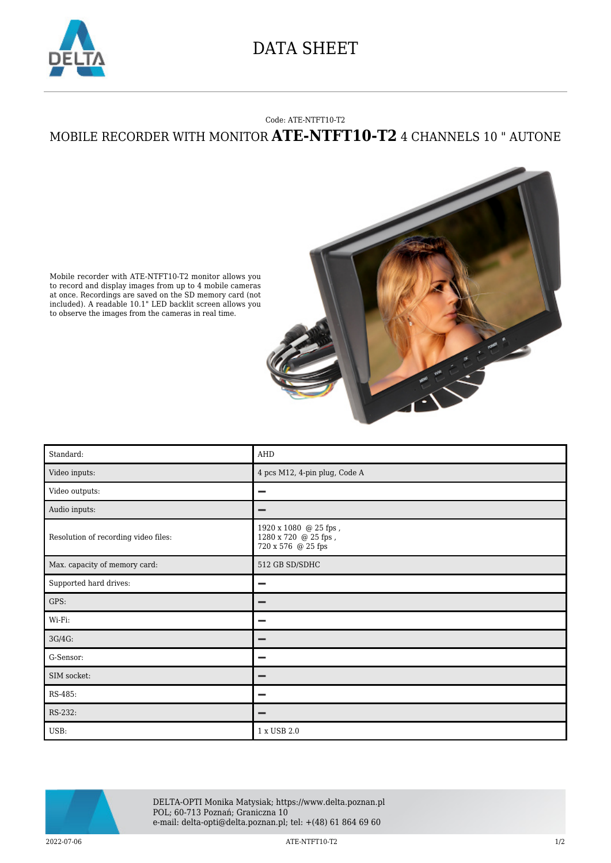

## DATA SHEET

## Code: ATE-NTFT10-T2 MOBILE RECORDER WITH MONITOR **ATE-NTFT10-T2** 4 CHANNELS 10 " AUTONE



Mobile recorder with ATE-NTFT10-T2 monitor allows you to record and display images from up to 4 mobile cameras at once. Recordings are saved on the SD memory card (not included). A readable 10.1" LED backlit screen allows you to observe the images from the cameras in real time.

| Standard:                            | AHD                                                                                      |
|--------------------------------------|------------------------------------------------------------------------------------------|
| Video inputs:                        | 4 pcs M12, 4-pin plug, Code A                                                            |
| Video outputs:                       | -                                                                                        |
| Audio inputs:                        | -                                                                                        |
| Resolution of recording video files: | $1920$ x $1080$ $\;$ @ $25$ fps ,<br>$1280$ x $720\;$ @ $25$ fps ,<br>720 x 576 @ 25 fps |
| Max. capacity of memory card:        | 512 GB SD/SDHC                                                                           |
| Supported hard drives:               |                                                                                          |
| GPS:                                 | -                                                                                        |
| Wi-Fi:                               | -                                                                                        |
| 3G/4G:                               |                                                                                          |
| G-Sensor:                            | -                                                                                        |
| SIM socket:                          |                                                                                          |
| RS-485:                              |                                                                                          |
| RS-232:                              |                                                                                          |
| USB:                                 | 1 x USB 2.0                                                                              |



DELTA-OPTI Monika Matysiak; https://www.delta.poznan.pl POL; 60-713 Poznań; Graniczna 10 e-mail: delta-opti@delta.poznan.pl; tel: +(48) 61 864 69 60